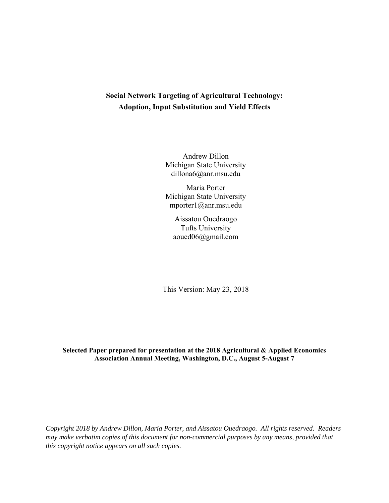# **Social Network Targeting of Agricultural Technology: Adoption, Input Substitution and Yield Effects**

Andrew Dillon Michigan State University dillona6@anr.msu.edu

Maria Porter Michigan State University mporter1@anr.msu.edu

Aissatou Ouedraogo Tufts University aoued06@gmail.com

This Version: May 23, 2018

## **Selected Paper prepared for presentation at the 2018 Agricultural & Applied Economics Association Annual Meeting, Washington, D.C., August 5-August 7**

*Copyright 2018 by Andrew Dillon, Maria Porter, and Aissatou Ouedraogo. All rights reserved. Readers may make verbatim copies of this document for non-commercial purposes by any means, provided that this copyright notice appears on all such copies.*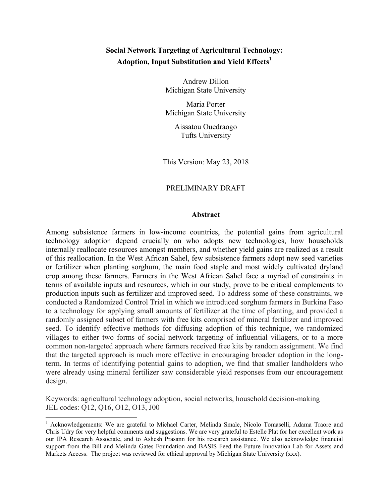# **Social Network Targeting of Agricultural Technology: Adoption, Input Substitution and Yield Effects<sup>1</sup>**

Andrew Dillon Michigan State University

Maria Porter Michigan State University

> Aissatou Ouedraogo Tufts University

This Version: May 23, 2018

## PRELIMINARY DRAFT

## **Abstract**

Among subsistence farmers in low-income countries, the potential gains from agricultural technology adoption depend crucially on who adopts new technologies, how households internally reallocate resources amongst members, and whether yield gains are realized as a result of this reallocation. In the West African Sahel, few subsistence farmers adopt new seed varieties or fertilizer when planting sorghum, the main food staple and most widely cultivated dryland crop among these farmers. Farmers in the West African Sahel face a myriad of constraints in terms of available inputs and resources, which in our study, prove to be critical complements to production inputs such as fertilizer and improved seed. To address some of these constraints, we conducted a Randomized Control Trial in which we introduced sorghum farmers in Burkina Faso to a technology for applying small amounts of fertilizer at the time of planting, and provided a randomly assigned subset of farmers with free kits comprised of mineral fertilizer and improved seed. To identify effective methods for diffusing adoption of this technique, we randomized villages to either two forms of social network targeting of influential villagers, or to a more common non-targeted approach where farmers received free kits by random assignment. We find that the targeted approach is much more effective in encouraging broader adoption in the longterm. In terms of identifying potential gains to adoption, we find that smaller landholders who were already using mineral fertilizer saw considerable yield responses from our encouragement design.

Keywords: agricultural technology adoption, social networks, household decision-making JEL codes: Q12, Q16, O12, O13, J00

<sup>&</sup>lt;sup>1</sup> Acknowledgements: We are grateful to Michael Carter, Melinda Smale, Nicolo Tomaselli, Adama Traore and Chris Udry for very helpful comments and suggestions. We are very grateful to Estelle Plat for her excellent work as our IPA Research Associate, and to Ashesh Prasann for his research assistance. We also acknowledge financial support from the Bill and Melinda Gates Foundation and BASIS Feed the Future Innovation Lab for Assets and Markets Access. The project was reviewed for ethical approval by Michigan State University (xxx).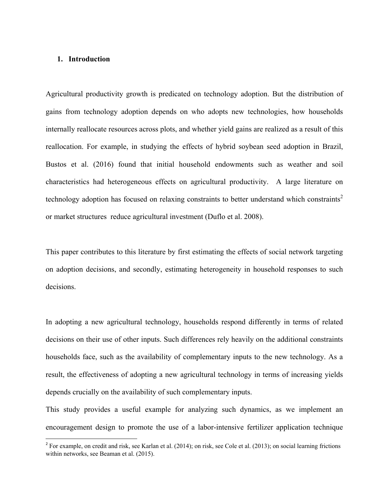## **1. Introduction**

Agricultural productivity growth is predicated on technology adoption. But the distribution of gains from technology adoption depends on who adopts new technologies, how households internally reallocate resources across plots, and whether yield gains are realized as a result of this reallocation. For example, in studying the effects of hybrid soybean seed adoption in Brazil, Bustos et al. (2016) found that initial household endowments such as weather and soil characteristics had heterogeneous effects on agricultural productivity. A large literature on technology adoption has focused on relaxing constraints to better understand which constraints<sup>2</sup> or market structures reduce agricultural investment (Duflo et al. 2008).

This paper contributes to this literature by first estimating the effects of social network targeting on adoption decisions, and secondly, estimating heterogeneity in household responses to such decisions.

In adopting a new agricultural technology, households respond differently in terms of related decisions on their use of other inputs. Such differences rely heavily on the additional constraints households face, such as the availability of complementary inputs to the new technology. As a result, the effectiveness of adopting a new agricultural technology in terms of increasing yields depends crucially on the availability of such complementary inputs.

This study provides a useful example for analyzing such dynamics, as we implement an encouragement design to promote the use of a labor-intensive fertilizer application technique

 $2^2$  For example, on credit and risk, see Karlan et al. (2014); on risk, see Cole et al. (2013); on social learning frictions within networks, see Beaman et al. (2015).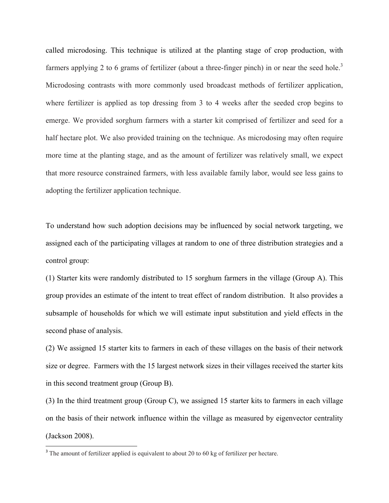called microdosing. This technique is utilized at the planting stage of crop production, with farmers applying 2 to 6 grams of fertilizer (about a three-finger pinch) in or near the seed hole.<sup>3</sup> Microdosing contrasts with more commonly used broadcast methods of fertilizer application, where fertilizer is applied as top dressing from 3 to 4 weeks after the seeded crop begins to emerge. We provided sorghum farmers with a starter kit comprised of fertilizer and seed for a half hectare plot. We also provided training on the technique. As microdosing may often require more time at the planting stage, and as the amount of fertilizer was relatively small, we expect that more resource constrained farmers, with less available family labor, would see less gains to adopting the fertilizer application technique.

To understand how such adoption decisions may be influenced by social network targeting, we assigned each of the participating villages at random to one of three distribution strategies and a control group:

(1) Starter kits were randomly distributed to 15 sorghum farmers in the village (Group A). This group provides an estimate of the intent to treat effect of random distribution. It also provides a subsample of households for which we will estimate input substitution and yield effects in the second phase of analysis.

(2) We assigned 15 starter kits to farmers in each of these villages on the basis of their network size or degree. Farmers with the 15 largest network sizes in their villages received the starter kits in this second treatment group (Group B).

(3) In the third treatment group (Group C), we assigned 15 starter kits to farmers in each village on the basis of their network influence within the village as measured by eigenvector centrality (Jackson 2008).

 $3$  The amount of fertilizer applied is equivalent to about 20 to 60 kg of fertilizer per hectare.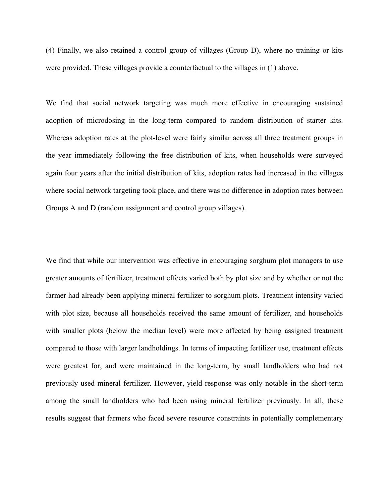(4) Finally, we also retained a control group of villages (Group D), where no training or kits were provided. These villages provide a counterfactual to the villages in (1) above.

We find that social network targeting was much more effective in encouraging sustained adoption of microdosing in the long-term compared to random distribution of starter kits. Whereas adoption rates at the plot-level were fairly similar across all three treatment groups in the year immediately following the free distribution of kits, when households were surveyed again four years after the initial distribution of kits, adoption rates had increased in the villages where social network targeting took place, and there was no difference in adoption rates between Groups A and D (random assignment and control group villages).

We find that while our intervention was effective in encouraging sorghum plot managers to use greater amounts of fertilizer, treatment effects varied both by plot size and by whether or not the farmer had already been applying mineral fertilizer to sorghum plots. Treatment intensity varied with plot size, because all households received the same amount of fertilizer, and households with smaller plots (below the median level) were more affected by being assigned treatment compared to those with larger landholdings. In terms of impacting fertilizer use, treatment effects were greatest for, and were maintained in the long-term, by small landholders who had not previously used mineral fertilizer. However, yield response was only notable in the short-term among the small landholders who had been using mineral fertilizer previously. In all, these results suggest that farmers who faced severe resource constraints in potentially complementary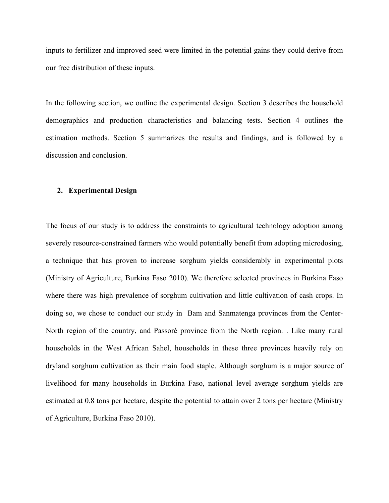inputs to fertilizer and improved seed were limited in the potential gains they could derive from our free distribution of these inputs.

In the following section, we outline the experimental design. Section 3 describes the household demographics and production characteristics and balancing tests. Section 4 outlines the estimation methods. Section 5 summarizes the results and findings, and is followed by a discussion and conclusion.

#### **2. Experimental Design**

The focus of our study is to address the constraints to agricultural technology adoption among severely resource-constrained farmers who would potentially benefit from adopting microdosing, a technique that has proven to increase sorghum yields considerably in experimental plots (Ministry of Agriculture, Burkina Faso 2010). We therefore selected provinces in Burkina Faso where there was high prevalence of sorghum cultivation and little cultivation of cash crops. In doing so, we chose to conduct our study in Bam and Sanmatenga provinces from the Center-North region of the country, and Passoré province from the North region. . Like many rural households in the West African Sahel, households in these three provinces heavily rely on dryland sorghum cultivation as their main food staple. Although sorghum is a major source of livelihood for many households in Burkina Faso, national level average sorghum yields are estimated at 0.8 tons per hectare, despite the potential to attain over 2 tons per hectare (Ministry of Agriculture, Burkina Faso 2010).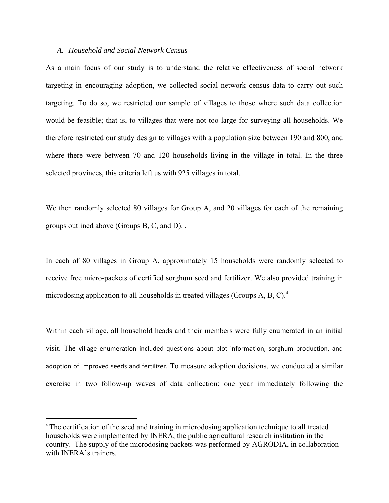## *A. Household and Social Network Census*

As a main focus of our study is to understand the relative effectiveness of social network targeting in encouraging adoption, we collected social network census data to carry out such targeting. To do so, we restricted our sample of villages to those where such data collection would be feasible; that is, to villages that were not too large for surveying all households. We therefore restricted our study design to villages with a population size between 190 and 800, and where there were between 70 and 120 households living in the village in total. In the three selected provinces, this criteria left us with 925 villages in total.

We then randomly selected 80 villages for Group A, and 20 villages for each of the remaining groups outlined above (Groups B, C, and D). .

In each of 80 villages in Group A, approximately 15 households were randomly selected to receive free micro-packets of certified sorghum seed and fertilizer. We also provided training in microdosing application to all households in treated villages (Groups A, B, C).4

Within each village, all household heads and their members were fully enumerated in an initial visit. The village enumeration included questions about plot information, sorghum production, and adoption of improved seeds and fertilizer. To measure adoption decisions, we conducted a similar exercise in two follow-up waves of data collection: one year immediately following the

<sup>&</sup>lt;sup>4</sup> The certification of the seed and training in microdosing application technique to all treated households were implemented by INERA, the public agricultural research institution in the country. The supply of the microdosing packets was performed by AGRODIA, in collaboration with INERA's trainers.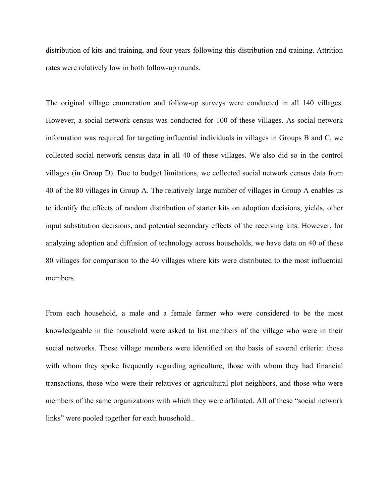distribution of kits and training, and four years following this distribution and training. Attrition rates were relatively low in both follow-up rounds.

The original village enumeration and follow-up surveys were conducted in all 140 villages. However, a social network census was conducted for 100 of these villages. As social network information was required for targeting influential individuals in villages in Groups B and C, we collected social network census data in all 40 of these villages. We also did so in the control villages (in Group D). Due to budget limitations, we collected social network census data from 40 of the 80 villages in Group A. The relatively large number of villages in Group A enables us to identify the effects of random distribution of starter kits on adoption decisions, yields, other input substitution decisions, and potential secondary effects of the receiving kits. However, for analyzing adoption and diffusion of technology across households, we have data on 40 of these 80 villages for comparison to the 40 villages where kits were distributed to the most influential members.

From each household, a male and a female farmer who were considered to be the most knowledgeable in the household were asked to list members of the village who were in their social networks. These village members were identified on the basis of several criteria: those with whom they spoke frequently regarding agriculture, those with whom they had financial transactions, those who were their relatives or agricultural plot neighbors, and those who were members of the same organizations with which they were affiliated. All of these "social network links" were pooled together for each household..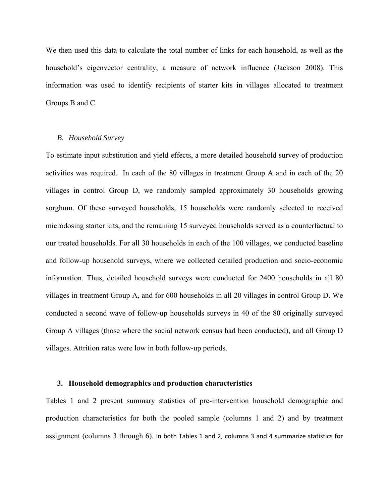We then used this data to calculate the total number of links for each household, as well as the household's eigenvector centrality, a measure of network influence (Jackson 2008). This information was used to identify recipients of starter kits in villages allocated to treatment Groups B and C.

## *B. Household Survey*

To estimate input substitution and yield effects, a more detailed household survey of production activities was required. In each of the 80 villages in treatment Group A and in each of the 20 villages in control Group D, we randomly sampled approximately 30 households growing sorghum. Of these surveyed households, 15 households were randomly selected to received microdosing starter kits, and the remaining 15 surveyed households served as a counterfactual to our treated households. For all 30 households in each of the 100 villages, we conducted baseline and follow-up household surveys, where we collected detailed production and socio-economic information. Thus, detailed household surveys were conducted for 2400 households in all 80 villages in treatment Group A, and for 600 households in all 20 villages in control Group D. We conducted a second wave of follow-up households surveys in 40 of the 80 originally surveyed Group A villages (those where the social network census had been conducted), and all Group D villages. Attrition rates were low in both follow-up periods.

#### **3. Household demographics and production characteristics**

Tables 1 and 2 present summary statistics of pre-intervention household demographic and production characteristics for both the pooled sample (columns 1 and 2) and by treatment assignment (columns 3 through 6). In both Tables 1 and 2, columns 3 and 4 summarize statistics for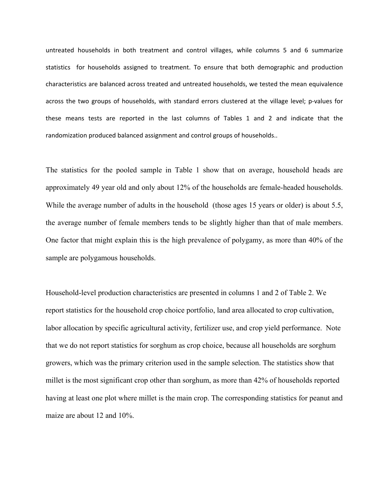untreated households in both treatment and control villages, while columns 5 and 6 summarize statistics for households assigned to treatment. To ensure that both demographic and production characteristics are balanced across treated and untreated households, we tested the mean equivalence across the two groups of households, with standard errors clustered at the village level; p-values for these means tests are reported in the last columns of Tables 1 and 2 and indicate that the randomization produced balanced assignment and control groups of households..

The statistics for the pooled sample in Table 1 show that on average, household heads are approximately 49 year old and only about 12% of the households are female-headed households. While the average number of adults in the household (those ages 15 years or older) is about 5.5, the average number of female members tends to be slightly higher than that of male members. One factor that might explain this is the high prevalence of polygamy, as more than 40% of the sample are polygamous households.

Household-level production characteristics are presented in columns 1 and 2 of Table 2. We report statistics for the household crop choice portfolio, land area allocated to crop cultivation, labor allocation by specific agricultural activity, fertilizer use, and crop yield performance. Note that we do not report statistics for sorghum as crop choice, because all households are sorghum growers, which was the primary criterion used in the sample selection. The statistics show that millet is the most significant crop other than sorghum, as more than 42% of households reported having at least one plot where millet is the main crop. The corresponding statistics for peanut and maize are about 12 and 10%.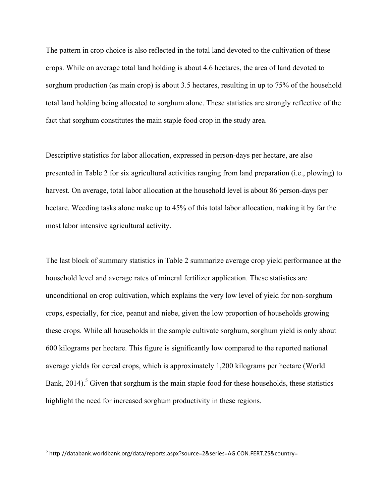The pattern in crop choice is also reflected in the total land devoted to the cultivation of these crops. While on average total land holding is about 4.6 hectares, the area of land devoted to sorghum production (as main crop) is about 3.5 hectares, resulting in up to 75% of the household total land holding being allocated to sorghum alone. These statistics are strongly reflective of the fact that sorghum constitutes the main staple food crop in the study area.

Descriptive statistics for labor allocation, expressed in person-days per hectare, are also presented in Table 2 for six agricultural activities ranging from land preparation (i.e., plowing) to harvest. On average, total labor allocation at the household level is about 86 person-days per hectare. Weeding tasks alone make up to 45% of this total labor allocation, making it by far the most labor intensive agricultural activity.

The last block of summary statistics in Table 2 summarize average crop yield performance at the household level and average rates of mineral fertilizer application. These statistics are unconditional on crop cultivation, which explains the very low level of yield for non-sorghum crops, especially, for rice, peanut and niebe, given the low proportion of households growing these crops. While all households in the sample cultivate sorghum, sorghum yield is only about 600 kilograms per hectare. This figure is significantly low compared to the reported national average yields for cereal crops, which is approximately 1,200 kilograms per hectare (World Bank,  $2014$ ).<sup>5</sup> Given that sorghum is the main staple food for these households, these statistics highlight the need for increased sorghum productivity in these regions.

<sup>5</sup> http://databank.worldbank.org/data/reports.aspx?source=2&series=AG.CON.FERT.ZS&country=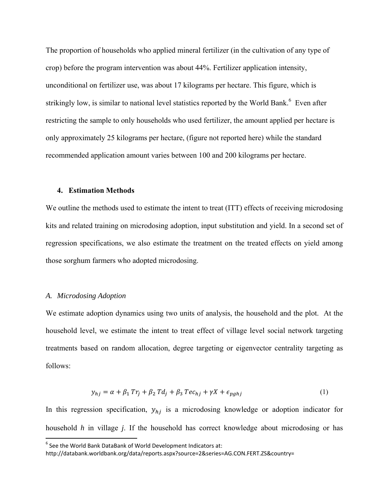The proportion of households who applied mineral fertilizer (in the cultivation of any type of crop) before the program intervention was about 44%. Fertilizer application intensity, unconditional on fertilizer use, was about 17 kilograms per hectare. This figure, which is strikingly low, is similar to national level statistics reported by the World Bank.<sup>6</sup> Even after restricting the sample to only households who used fertilizer, the amount applied per hectare is only approximately 25 kilograms per hectare, (figure not reported here) while the standard recommended application amount varies between 100 and 200 kilograms per hectare.

#### **4. Estimation Methods**

We outline the methods used to estimate the intent to treat (ITT) effects of receiving microdosing kits and related training on microdosing adoption, input substitution and yield. In a second set of regression specifications, we also estimate the treatment on the treated effects on yield among those sorghum farmers who adopted microdosing.

## *A. Microdosing Adoption*

We estimate adoption dynamics using two units of analysis, the household and the plot. At the household level, we estimate the intent to treat effect of village level social network targeting treatments based on random allocation, degree targeting or eigenvector centrality targeting as follows:

$$
y_{hj} = \alpha + \beta_1 \operatorname{Tr}_j + \beta_2 \operatorname{Td}_j + \beta_3 \operatorname{Tec}_{hj} + \gamma X + \epsilon_{pghj} \tag{1}
$$

In this regression specification,  $y_{hj}$  is a microdosing knowledge or adoption indicator for household *h* in village *j*. If the household has correct knowledge about microdosing or has

 $^6$  See the World Bank DataBank of World Development Indicators at:

http://databank.worldbank.org/data/reports.aspx?source=2&series=AG.CON.FERT.ZS&country=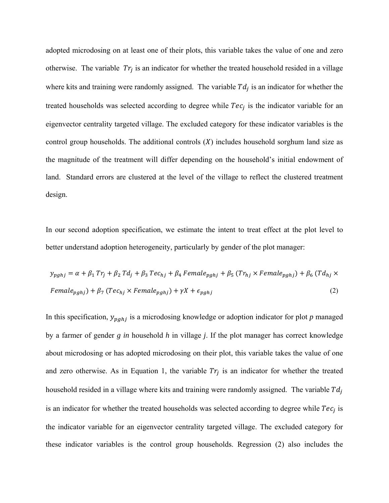adopted microdosing on at least one of their plots, this variable takes the value of one and zero otherwise. The variable  $Tr_i$  is an indicator for whether the treated household resided in a village where kits and training were randomly assigned. The variable  $Td_i$  is an indicator for whether the treated households was selected according to degree while  $Tec_i$  is the indicator variable for an eigenvector centrality targeted village. The excluded category for these indicator variables is the control group households. The additional controls  $(X)$  includes household sorghum land size as the magnitude of the treatment will differ depending on the household's initial endowment of land. Standard errors are clustered at the level of the village to reflect the clustered treatment design.

In our second adoption specification, we estimate the intent to treat effect at the plot level to better understand adoption heterogeneity, particularly by gender of the plot manager:

$$
y_{pghj} = \alpha + \beta_1 Tr_j + \beta_2 Td_j + \beta_3 Tec_{hj} + \beta_4 Female_{pghj} + \beta_5 (Tr_{hj} \times Female_{pghj}) + \beta_6 (Td_{hj} \times Female_{pghj}) + \beta_7 (Tec_{hj} \times Female_{pghj}) + \gamma X + \epsilon_{pghj}
$$
\n(2)

In this specification,  $y_{pghj}$  is a microdosing knowledge or adoption indicator for plot  $p$  managed by a farmer of gender *g in* household *h* in village *j*. If the plot manager has correct knowledge about microdosing or has adopted microdosing on their plot, this variable takes the value of one and zero otherwise. As in Equation 1, the variable  $Tr_i$  is an indicator for whether the treated household resided in a village where kits and training were randomly assigned. The variable  $Td_i$ is an indicator for whether the treated households was selected according to degree while  $Tec_i$  is the indicator variable for an eigenvector centrality targeted village. The excluded category for these indicator variables is the control group households. Regression (2) also includes the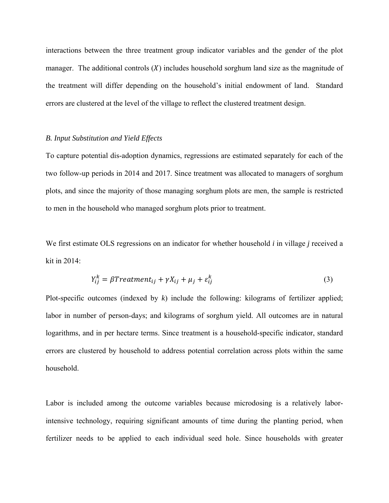interactions between the three treatment group indicator variables and the gender of the plot manager. The additional controls  $(X)$  includes household sorghum land size as the magnitude of the treatment will differ depending on the household's initial endowment of land. Standard errors are clustered at the level of the village to reflect the clustered treatment design.

#### *B. Input Substitution and Yield Effects*

To capture potential dis-adoption dynamics, regressions are estimated separately for each of the two follow-up periods in 2014 and 2017. Since treatment was allocated to managers of sorghum plots, and since the majority of those managing sorghum plots are men, the sample is restricted to men in the household who managed sorghum plots prior to treatment.

We first estimate OLS regressions on an indicator for whether household *i* in village *j* received a kit in 2014:

$$
Y_{ij}^k = \beta Treatment_{ij} + \gamma X_{ij} + \mu_j + \varepsilon_{ij}^k
$$
\n(3)

Plot-specific outcomes (indexed by *k*) include the following: kilograms of fertilizer applied; labor in number of person-days; and kilograms of sorghum yield. All outcomes are in natural logarithms, and in per hectare terms. Since treatment is a household-specific indicator, standard errors are clustered by household to address potential correlation across plots within the same household.

Labor is included among the outcome variables because microdosing is a relatively laborintensive technology, requiring significant amounts of time during the planting period, when fertilizer needs to be applied to each individual seed hole. Since households with greater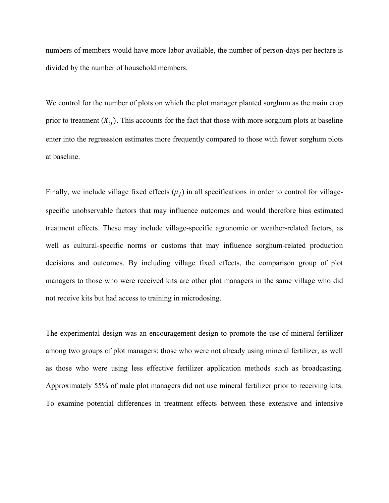numbers of members would have more labor available, the number of person-days per hectare is divided by the number of household members.

We control for the number of plots on which the plot manager planted sorghum as the main crop prior to treatment  $(X_{ij})$ . This accounts for the fact that those with more sorghum plots at baseline enter into the regresssion estimates more frequently compared to those with fewer sorghum plots at baseline.

Finally, we include village fixed effects  $(\mu_i)$  in all specifications in order to control for villagespecific unobservable factors that may influence outcomes and would therefore bias estimated treatment effects. These may include village-specific agronomic or weather-related factors, as well as cultural-specific norms or customs that may influence sorghum-related production decisions and outcomes. By including village fixed effects, the comparison group of plot managers to those who were received kits are other plot managers in the same village who did not receive kits but had access to training in microdosing.

The experimental design was an encouragement design to promote the use of mineral fertilizer among two groups of plot managers: those who were not already using mineral fertilizer, as well as those who were using less effective fertilizer application methods such as broadcasting. Approximately 55% of male plot managers did not use mineral fertilizer prior to receiving kits. To examine potential differences in treatment effects between these extensive and intensive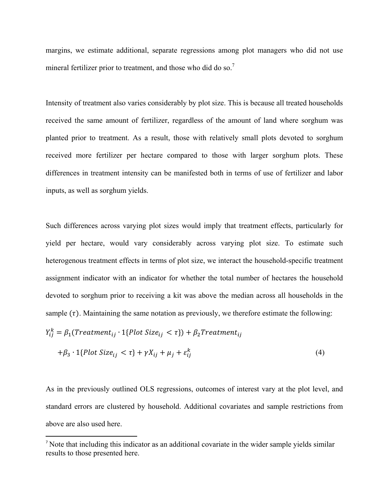margins, we estimate additional, separate regressions among plot managers who did not use mineral fertilizer prior to treatment, and those who did do so.<sup>7</sup>

Intensity of treatment also varies considerably by plot size. This is because all treated households received the same amount of fertilizer, regardless of the amount of land where sorghum was planted prior to treatment. As a result, those with relatively small plots devoted to sorghum received more fertilizer per hectare compared to those with larger sorghum plots. These differences in treatment intensity can be manifested both in terms of use of fertilizer and labor inputs, as well as sorghum yields.

Such differences across varying plot sizes would imply that treatment effects, particularly for yield per hectare, would vary considerably across varying plot size. To estimate such heterogenous treatment effects in terms of plot size, we interact the household-specific treatment assignment indicator with an indicator for whether the total number of hectares the household devoted to sorghum prior to receiving a kit was above the median across all households in the sample  $(\tau)$ . Maintaining the same notation as previously, we therefore estimate the following:

$$
Y_{ij}^k = \beta_1(Treatment_{ij} \cdot 1\{Plot \, Size_{ij} < \tau\}) + \beta_2 Treatment_{ij}
$$

$$
+\beta_3 \cdot 1\{Plot\ Size_{ij} < \tau\} + \gamma X_{ij} + \mu_j + \varepsilon_{ij}^k\tag{4}
$$

As in the previously outlined OLS regressions, outcomes of interest vary at the plot level, and standard errors are clustered by household. Additional covariates and sample restrictions from above are also used here.

<sup>&</sup>lt;sup>7</sup> Note that including this indicator as an additional covariate in the wider sample yields similar results to those presented here.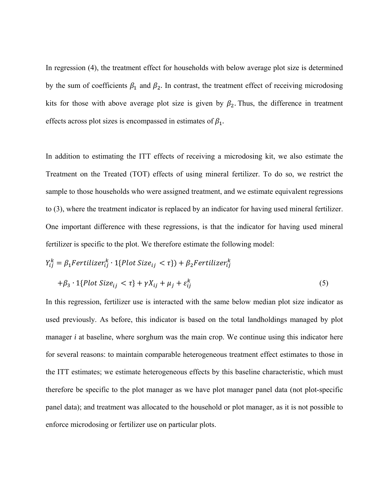In regression (4), the treatment effect for households with below average plot size is determined by the sum of coefficients  $\beta_1$  and  $\beta_2$ . In contrast, the treatment effect of receiving microdosing kits for those with above average plot size is given by  $\beta_2$ . Thus, the difference in treatment effects across plot sizes is encompassed in estimates of  $\beta_1$ .

In addition to estimating the ITT effects of receiving a microdosing kit, we also estimate the Treatment on the Treated (TOT) effects of using mineral fertilizer. To do so, we restrict the sample to those households who were assigned treatment, and we estimate equivalent regressions to (3), where the treatment indicator is replaced by an indicator for having used mineral fertilizer. One important difference with these regressions, is that the indicator for having used mineral fertilizer is specific to the plot. We therefore estimate the following model:

$$
Y_{ij}^{k} = \beta_{1} Fertilizer_{ij}^{k} \cdot 1\{Plot Size_{ij} < \tau\} + \beta_{2} Fertilizer_{ij}^{k}
$$
\n
$$
+ \beta_{3} \cdot 1\{Plot Size_{ij} < \tau\} + \gamma X_{ij} + \mu_{j} + \varepsilon_{ij}^{k}
$$
\n
$$
\tag{5}
$$

In this regression, fertilizer use is interacted with the same below median plot size indicator as used previously. As before, this indicator is based on the total landholdings managed by plot manager *i* at baseline, where sorghum was the main crop. We continue using this indicator here for several reasons: to maintain comparable heterogeneous treatment effect estimates to those in the ITT estimates; we estimate heterogeneous effects by this baseline characteristic, which must therefore be specific to the plot manager as we have plot manager panel data (not plot-specific panel data); and treatment was allocated to the household or plot manager, as it is not possible to enforce microdosing or fertilizer use on particular plots.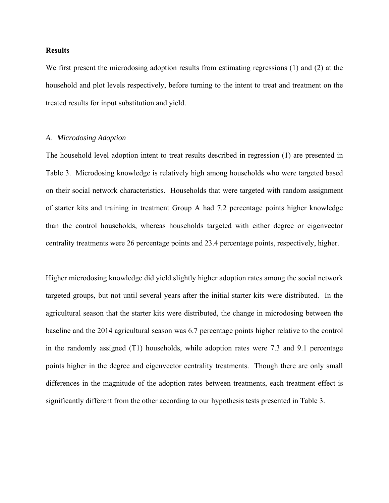#### **Results**

We first present the microdosing adoption results from estimating regressions (1) and (2) at the household and plot levels respectively, before turning to the intent to treat and treatment on the treated results for input substitution and yield.

### *A. Microdosing Adoption*

The household level adoption intent to treat results described in regression (1) are presented in Table 3. Microdosing knowledge is relatively high among households who were targeted based on their social network characteristics. Households that were targeted with random assignment of starter kits and training in treatment Group A had 7.2 percentage points higher knowledge than the control households, whereas households targeted with either degree or eigenvector centrality treatments were 26 percentage points and 23.4 percentage points, respectively, higher.

Higher microdosing knowledge did yield slightly higher adoption rates among the social network targeted groups, but not until several years after the initial starter kits were distributed. In the agricultural season that the starter kits were distributed, the change in microdosing between the baseline and the 2014 agricultural season was 6.7 percentage points higher relative to the control in the randomly assigned (T1) households, while adoption rates were 7.3 and 9.1 percentage points higher in the degree and eigenvector centrality treatments. Though there are only small differences in the magnitude of the adoption rates between treatments, each treatment effect is significantly different from the other according to our hypothesis tests presented in Table 3.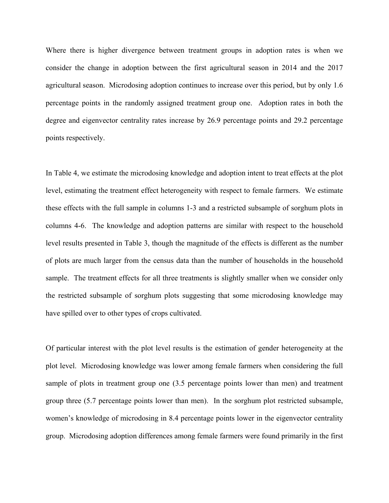Where there is higher divergence between treatment groups in adoption rates is when we consider the change in adoption between the first agricultural season in 2014 and the 2017 agricultural season. Microdosing adoption continues to increase over this period, but by only 1.6 percentage points in the randomly assigned treatment group one. Adoption rates in both the degree and eigenvector centrality rates increase by 26.9 percentage points and 29.2 percentage points respectively.

In Table 4, we estimate the microdosing knowledge and adoption intent to treat effects at the plot level, estimating the treatment effect heterogeneity with respect to female farmers. We estimate these effects with the full sample in columns 1-3 and a restricted subsample of sorghum plots in columns 4-6. The knowledge and adoption patterns are similar with respect to the household level results presented in Table 3, though the magnitude of the effects is different as the number of plots are much larger from the census data than the number of households in the household sample. The treatment effects for all three treatments is slightly smaller when we consider only the restricted subsample of sorghum plots suggesting that some microdosing knowledge may have spilled over to other types of crops cultivated.

Of particular interest with the plot level results is the estimation of gender heterogeneity at the plot level. Microdosing knowledge was lower among female farmers when considering the full sample of plots in treatment group one (3.5 percentage points lower than men) and treatment group three (5.7 percentage points lower than men). In the sorghum plot restricted subsample, women's knowledge of microdosing in 8.4 percentage points lower in the eigenvector centrality group. Microdosing adoption differences among female farmers were found primarily in the first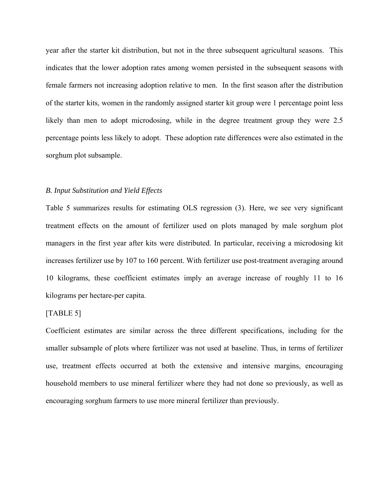year after the starter kit distribution, but not in the three subsequent agricultural seasons. This indicates that the lower adoption rates among women persisted in the subsequent seasons with female farmers not increasing adoption relative to men. In the first season after the distribution of the starter kits, women in the randomly assigned starter kit group were 1 percentage point less likely than men to adopt microdosing, while in the degree treatment group they were 2.5 percentage points less likely to adopt. These adoption rate differences were also estimated in the sorghum plot subsample.

## *B. Input Substitution and Yield Effects*

Table 5 summarizes results for estimating OLS regression (3). Here, we see very significant treatment effects on the amount of fertilizer used on plots managed by male sorghum plot managers in the first year after kits were distributed. In particular, receiving a microdosing kit increases fertilizer use by 107 to 160 percent. With fertilizer use post-treatment averaging around 10 kilograms, these coefficient estimates imply an average increase of roughly 11 to 16 kilograms per hectare-per capita.

#### [TABLE 5]

Coefficient estimates are similar across the three different specifications, including for the smaller subsample of plots where fertilizer was not used at baseline. Thus, in terms of fertilizer use, treatment effects occurred at both the extensive and intensive margins, encouraging household members to use mineral fertilizer where they had not done so previously, as well as encouraging sorghum farmers to use more mineral fertilizer than previously.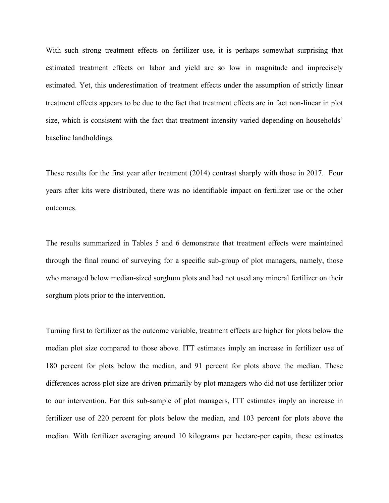With such strong treatment effects on fertilizer use, it is perhaps somewhat surprising that estimated treatment effects on labor and yield are so low in magnitude and imprecisely estimated. Yet, this underestimation of treatment effects under the assumption of strictly linear treatment effects appears to be due to the fact that treatment effects are in fact non-linear in plot size, which is consistent with the fact that treatment intensity varied depending on households' baseline landholdings.

These results for the first year after treatment (2014) contrast sharply with those in 2017. Four years after kits were distributed, there was no identifiable impact on fertilizer use or the other outcomes.

The results summarized in Tables 5 and 6 demonstrate that treatment effects were maintained through the final round of surveying for a specific sub-group of plot managers, namely, those who managed below median-sized sorghum plots and had not used any mineral fertilizer on their sorghum plots prior to the intervention.

Turning first to fertilizer as the outcome variable, treatment effects are higher for plots below the median plot size compared to those above. ITT estimates imply an increase in fertilizer use of 180 percent for plots below the median, and 91 percent for plots above the median. These differences across plot size are driven primarily by plot managers who did not use fertilizer prior to our intervention. For this sub-sample of plot managers, ITT estimates imply an increase in fertilizer use of 220 percent for plots below the median, and 103 percent for plots above the median. With fertilizer averaging around 10 kilograms per hectare-per capita, these estimates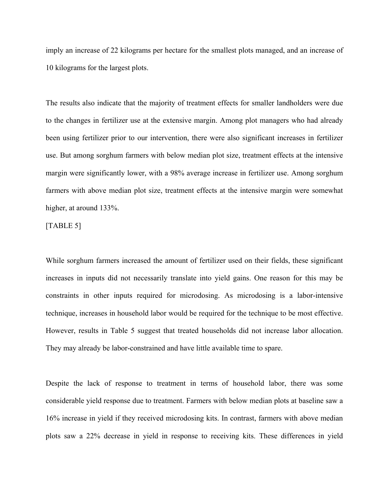imply an increase of 22 kilograms per hectare for the smallest plots managed, and an increase of 10 kilograms for the largest plots.

The results also indicate that the majority of treatment effects for smaller landholders were due to the changes in fertilizer use at the extensive margin. Among plot managers who had already been using fertilizer prior to our intervention, there were also significant increases in fertilizer use. But among sorghum farmers with below median plot size, treatment effects at the intensive margin were significantly lower, with a 98% average increase in fertilizer use. Among sorghum farmers with above median plot size, treatment effects at the intensive margin were somewhat higher, at around 133%.

[TABLE 5]

While sorghum farmers increased the amount of fertilizer used on their fields, these significant increases in inputs did not necessarily translate into yield gains. One reason for this may be constraints in other inputs required for microdosing. As microdosing is a labor-intensive technique, increases in household labor would be required for the technique to be most effective. However, results in Table 5 suggest that treated households did not increase labor allocation. They may already be labor-constrained and have little available time to spare.

Despite the lack of response to treatment in terms of household labor, there was some considerable yield response due to treatment. Farmers with below median plots at baseline saw a 16% increase in yield if they received microdosing kits. In contrast, farmers with above median plots saw a 22% decrease in yield in response to receiving kits. These differences in yield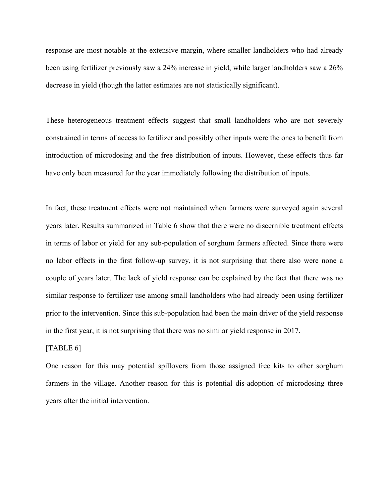response are most notable at the extensive margin, where smaller landholders who had already been using fertilizer previously saw a 24% increase in yield, while larger landholders saw a 26% decrease in yield (though the latter estimates are not statistically significant).

These heterogeneous treatment effects suggest that small landholders who are not severely constrained in terms of access to fertilizer and possibly other inputs were the ones to benefit from introduction of microdosing and the free distribution of inputs. However, these effects thus far have only been measured for the year immediately following the distribution of inputs.

In fact, these treatment effects were not maintained when farmers were surveyed again several years later. Results summarized in Table 6 show that there were no discernible treatment effects in terms of labor or yield for any sub-population of sorghum farmers affected. Since there were no labor effects in the first follow-up survey, it is not surprising that there also were none a couple of years later. The lack of yield response can be explained by the fact that there was no similar response to fertilizer use among small landholders who had already been using fertilizer prior to the intervention. Since this sub-population had been the main driver of the yield response in the first year, it is not surprising that there was no similar yield response in 2017.

## [TABLE 6]

One reason for this may potential spillovers from those assigned free kits to other sorghum farmers in the village. Another reason for this is potential dis-adoption of microdosing three years after the initial intervention.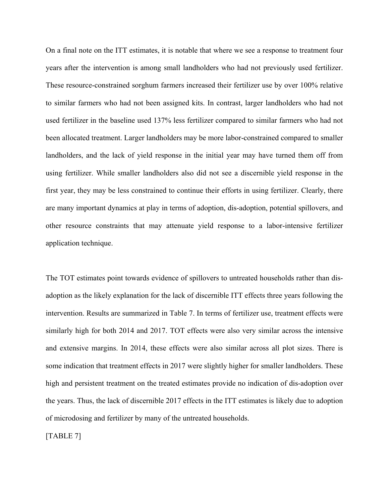On a final note on the ITT estimates, it is notable that where we see a response to treatment four years after the intervention is among small landholders who had not previously used fertilizer. These resource-constrained sorghum farmers increased their fertilizer use by over 100% relative to similar farmers who had not been assigned kits. In contrast, larger landholders who had not used fertilizer in the baseline used 137% less fertilizer compared to similar farmers who had not been allocated treatment. Larger landholders may be more labor-constrained compared to smaller landholders, and the lack of yield response in the initial year may have turned them off from using fertilizer. While smaller landholders also did not see a discernible yield response in the first year, they may be less constrained to continue their efforts in using fertilizer. Clearly, there are many important dynamics at play in terms of adoption, dis-adoption, potential spillovers, and other resource constraints that may attenuate yield response to a labor-intensive fertilizer application technique.

The TOT estimates point towards evidence of spillovers to untreated households rather than disadoption as the likely explanation for the lack of discernible ITT effects three years following the intervention. Results are summarized in Table 7. In terms of fertilizer use, treatment effects were similarly high for both 2014 and 2017. TOT effects were also very similar across the intensive and extensive margins. In 2014, these effects were also similar across all plot sizes. There is some indication that treatment effects in 2017 were slightly higher for smaller landholders. These high and persistent treatment on the treated estimates provide no indication of dis-adoption over the years. Thus, the lack of discernible 2017 effects in the ITT estimates is likely due to adoption of microdosing and fertilizer by many of the untreated households.

[TABLE 7]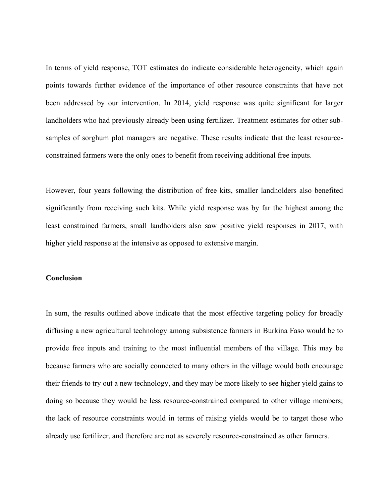In terms of yield response, TOT estimates do indicate considerable heterogeneity, which again points towards further evidence of the importance of other resource constraints that have not been addressed by our intervention. In 2014, yield response was quite significant for larger landholders who had previously already been using fertilizer. Treatment estimates for other subsamples of sorghum plot managers are negative. These results indicate that the least resourceconstrained farmers were the only ones to benefit from receiving additional free inputs.

However, four years following the distribution of free kits, smaller landholders also benefited significantly from receiving such kits. While yield response was by far the highest among the least constrained farmers, small landholders also saw positive yield responses in 2017, with higher yield response at the intensive as opposed to extensive margin.

## **Conclusion**

In sum, the results outlined above indicate that the most effective targeting policy for broadly diffusing a new agricultural technology among subsistence farmers in Burkina Faso would be to provide free inputs and training to the most influential members of the village. This may be because farmers who are socially connected to many others in the village would both encourage their friends to try out a new technology, and they may be more likely to see higher yield gains to doing so because they would be less resource-constrained compared to other village members; the lack of resource constraints would in terms of raising yields would be to target those who already use fertilizer, and therefore are not as severely resource-constrained as other farmers.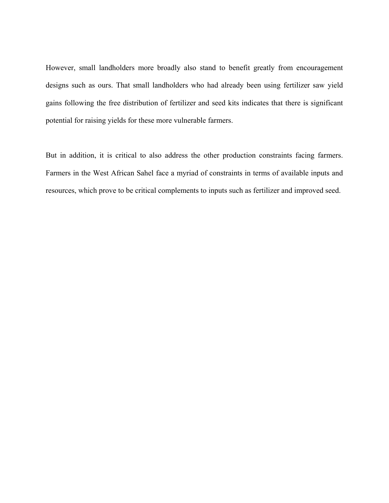However, small landholders more broadly also stand to benefit greatly from encouragement designs such as ours. That small landholders who had already been using fertilizer saw yield gains following the free distribution of fertilizer and seed kits indicates that there is significant potential for raising yields for these more vulnerable farmers.

But in addition, it is critical to also address the other production constraints facing farmers. Farmers in the West African Sahel face a myriad of constraints in terms of available inputs and resources, which prove to be critical complements to inputs such as fertilizer and improved seed.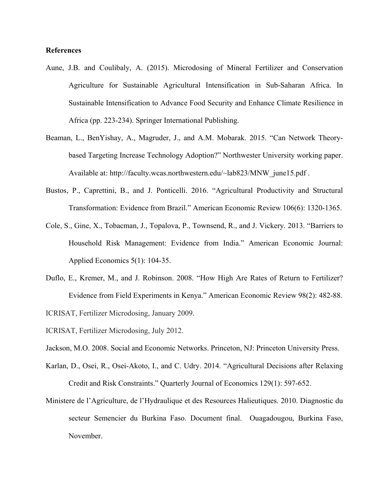## **References**

- Aune, J.B. and Coulibaly, A. (2015). Microdosing of Mineral Fertilizer and Conservation Agriculture for Sustainable Agricultural Intensification in Sub-Saharan Africa. In Sustainable Intensification to Advance Food Security and Enhance Climate Resilience in Africa (pp. 223-234). Springer International Publishing.
- Beaman, L., BenYishay, A., Magruder, J., and A.M. Mobarak. 2015. "Can Network Theorybased Targeting Increase Technology Adoption?" Northwester University working paper. Available at: http://faculty.wcas.northwestern.edu/~lab823/MNW\_june15.pdf.
- Bustos, P., Caprettini, B., and J. Ponticelli. 2016. "Agricultural Productivity and Structural Transformation: Evidence from Brazil." American Economic Review 106(6): 1320-1365.
- Cole, S., Gine, X., Tobacman, J., Topalova, P., Townsend, R., and J. Vickery. 2013. "Barriers to Household Risk Management: Evidence from India." American Economic Journal: Applied Economics 5(1): 104-35.
- Duflo, E., Kremer, M., and J. Robinson. 2008. "How High Are Rates of Return to Fertilizer? Evidence from Field Experiments in Kenya." American Economic Review 98(2): 482-88.
- ICRISAT, Fertilizer Microdosing, January 2009.
- ICRISAT, Fertilizer Microdosing, July 2012.
- Jackson, M.O. 2008. Social and Economic Networks. Princeton, NJ: Princeton University Press.
- Karlan, D., Osei, R., Osei-Akoto, I., and C. Udry. 2014. "Agricultural Decisions after Relaxing Credit and Risk Constraints." Quarterly Journal of Economics 129(1): 597-652.
- Ministere de l'Agriculture, de l'Hydraulique et des Resources Halieutiques. 2010. Diagnostic du secteur Semencier du Burkina Faso. Document final. Ouagadougou, Burkina Faso, November.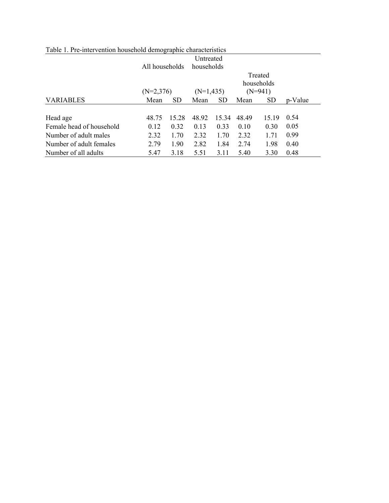| Table 1. Pre-intervention household demographic characteristics |                |                 |              |           |       |            |         |
|-----------------------------------------------------------------|----------------|-----------------|--------------|-----------|-------|------------|---------|
|                                                                 |                |                 | Untreated    |           |       |            |         |
|                                                                 | All households |                 | households   |           |       |            |         |
|                                                                 |                |                 |              |           |       | Treated    |         |
|                                                                 |                |                 |              |           |       | households |         |
|                                                                 | $(N=2,376)$    |                 | $(N=1, 435)$ |           |       | $(N=941)$  |         |
| <b>VARIABLES</b>                                                | Mean           | SD <sub>1</sub> | Mean         | <b>SD</b> | Mean  | <b>SD</b>  | p-Value |
|                                                                 |                |                 |              |           |       |            |         |
| Head age                                                        | 48.75          | 15.28           | 48.92        | 15.34     | 48.49 | 15.19      | 0.54    |
| Female head of household                                        | 0.12           | 0.32            | 0.13         | 0.33      | 0.10  | 0.30       | 0.05    |
| Number of adult males                                           | 2.32           | 1.70            | 2.32         | 1.70      | 2.32  | 1.71       | 0.99    |
| Number of adult females                                         | 2.79           | 1.90            | 2.82         | 1.84      | 2.74  | 1.98       | 0.40    |
| Number of all adults                                            | 5.47           | 3.18            | 5.51         | 3.11      | 5.40  | 3.30       | 0.48    |

Table 1. Pre-intervention household demographic characteristics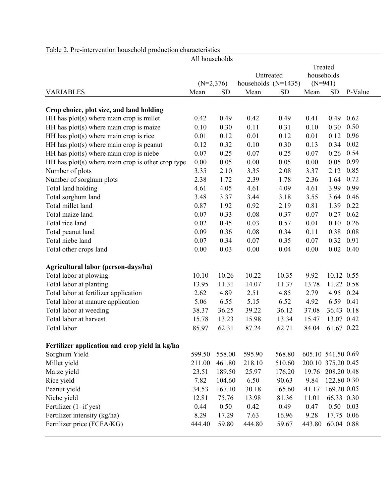|                                                     | All households |           |                       |           |                    |                   |         |
|-----------------------------------------------------|----------------|-----------|-----------------------|-----------|--------------------|-------------------|---------|
|                                                     |                |           |                       |           |                    | Treated           |         |
|                                                     |                |           | Untreated             |           | households         |                   |         |
|                                                     | $(N=2,376)$    |           | households $(N=1435)$ |           | $(N=941)$          |                   |         |
| <b>VARIABLES</b>                                    | Mean           | <b>SD</b> | Mean                  | <b>SD</b> | Mean               | <b>SD</b>         | P-Value |
|                                                     |                |           |                       |           |                    |                   |         |
| Crop choice, plot size, and land holding            |                |           |                       |           |                    |                   |         |
| HH has $plot(s)$ where main crop is millet          | 0.42           | 0.49      | 0.42                  | 0.49      | 0.41               | 0.49              | 0.62    |
| HH has plot(s) where main crop is maize             | 0.10           | 0.30      | 0.11                  | 0.31      | 0.10               | 0.30              | 0.50    |
| HH has plot(s) where main crop is rice              | 0.01           | 0.12      | 0.01                  | 0.12      | 0.01               | 0.12              | 0.96    |
| HH has plot(s) where main crop is peanut            | 0.12           | 0.32      | 0.10                  | 0.30      | 0.13               | 0.34              | 0.02    |
| HH has plot(s) where main crop is niebe             | 0.07           | 0.25      | 0.07                  | 0.25      | 0.07               | 0.26              | 0.54    |
| HH has $plot(s)$ where main crop is other crop type | 0.00           | 0.05      | 0.00                  | 0.05      | 0.00               | 0.05              | 0.99    |
| Number of plots                                     | 3.35           | 2.10      | 3.35                  | 2.08      | 3.37               | 2.12              | 0.85    |
| Number of sorghum plots                             | 2.38           | 1.72      | 2.39                  | 1.78      | 2.36               | 1.64              | 0.72    |
| Total land holding                                  | 4.61           | 4.05      | 4.61                  | 4.09      | 4.61               | 3.99              | 0.99    |
| Total sorghum land                                  | 3.48           | 3.37      | 3.44                  | 3.18      | 3.55               | 3.64              | 0.46    |
| Total millet land                                   | 0.87           | 1.92      | 0.92                  | 2.19      | 0.81               | 1.39              | 0.22    |
| Total maize land                                    | 0.07           | 0.33      | 0.08                  | 0.37      | 0.07               | 0.27              | 0.62    |
| Total rice land                                     | 0.02           | 0.45      | 0.03                  | 0.57      | 0.01               | 0.10              | 0.26    |
| Total peanut land                                   | 0.09           | 0.36      | 0.08                  | 0.34      | 0.11               | 0.38              | 0.08    |
| Total niebe land                                    | 0.07           | 0.34      | 0.07                  | 0.35      | 0.07               | 0.32              | 0.91    |
| Total other crops land                              | 0.00           | 0.03      | 0.00                  | 0.04      | 0.00               | 0.02              | 0.40    |
| Agricultural labor (person-days/ha)                 |                |           |                       |           |                    |                   |         |
| Total labor at plowing                              | 10.10          | 10.26     | 10.22                 | 10.35     | 9.92               | 10.12 0.55        |         |
| Total labor at planting                             | 13.95          | 11.31     | 14.07                 | 11.37     | 13.78              | 11.22 0.58        |         |
| Total labor at fertilizer application               | 2.62           | 4.89      | 2.51                  | 4.85      | 2.79               | 4.95              | 0.24    |
| Total labor at manure application                   | 5.06           | 6.55      | 5.15                  | 6.52      | 4.92               | 6.59              | 0.41    |
| Total labor at weeding                              | 38.37          | 36.25     | 39.22                 | 36.12     | 37.08              | 36.43 0.18        |         |
| Total labor at harvest                              | 15.78          | 13.23     | 15.98                 | 13.34     | 15.47              | 13.07 0.42        |         |
| Total labor                                         | 85.97          | 62.31     | 87.24                 | 62.71     | 84.04              | 61.67 0.22        |         |
| Fertilizer application and crop yield in kg/ha      |                |           |                       |           |                    |                   |         |
| Sorghum Yield                                       | 599.50         | 558.00    | 595.90                | 568.80    | 605.10 541.50 0.69 |                   |         |
| Millet yield                                        | 211.00         | 461.80    | 218.10                | 510.60    | 200.10 375.20 0.45 |                   |         |
| Maize yield                                         | 23.51          | 189.50    | 25.97                 | 176.20    | 19.76              | 208.20 0.48       |         |
| Rice yield                                          | 7.82           | 104.60    | 6.50                  | 90.63     | 9.84               | 122.80 0.30       |         |
| Peanut yield                                        | 34.53          | 167.10    | 30.18                 | 165.60    | 41.17              | 169.20 0.05       |         |
| Niebe yield                                         | 12.81          | 75.76     | 13.98                 | 81.36     | 11.01              | 66.33 0.30        |         |
| Fertilizer $(1 = if yes)$                           | 0.44           | 0.50      | 0.42                  | 0.49      | 0.47               | $0.50 \quad 0.03$ |         |
| Fertilizer intensity (kg/ha)                        | 8.29           | 17.29     | 7.63                  | 16.96     | 9.28               | 17.75 0.06        |         |
| Fertilizer price (FCFA/KG)                          | 444.40         | 59.80     | 444.80                | 59.67     | 443.80             | 60.04 0.88        |         |
|                                                     |                |           |                       |           |                    |                   |         |

# Table 2. Pre-intervention household production characteristics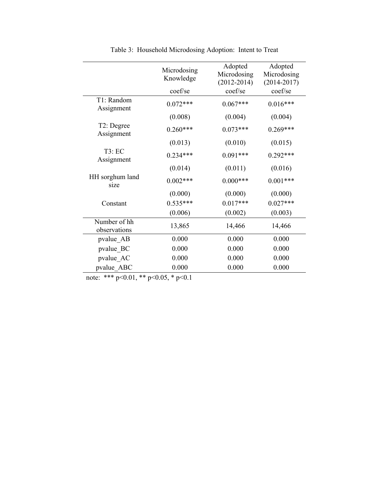| Microdosing<br>Knowledge | Adopted<br>Microdosing | Adopted<br>Microdosing |                 |
|--------------------------|------------------------|------------------------|-----------------|
| coef/se                  | coef/se                | coef/se                |                 |
| $0.072***$               | $0.067***$             | $0.016***$             |                 |
| (0.008)                  | (0.004)                | (0.004)                |                 |
| $0.260***$               | $0.073***$             | $0.269***$             |                 |
| (0.013)                  | (0.010)                | (0.015)                |                 |
| $0.234***$               | $0.091***$             | $0.292***$             |                 |
| (0.014)                  | (0.011)                | (0.016)                |                 |
| $0.002***$               | $0.000***$             | $0.001***$             |                 |
| (0.000)                  | (0.000)                | (0.000)                |                 |
| $0.535***$               | $0.017***$             | $0.027***$             |                 |
| (0.006)                  | (0.002)                | (0.003)                |                 |
| 13,865                   | 14,466                 | 14,466                 |                 |
| 0.000                    | 0.000                  | 0.000                  |                 |
| 0.000                    | 0.000                  | 0.000                  |                 |
| 0.000                    | 0.000                  | 0.000                  |                 |
| 0.000                    | 0.000                  | 0.000                  |                 |
|                          |                        | $(2012 - 2014)$        | $(2014 - 2017)$ |

Table 3: Household Microdosing Adoption: Intent to Treat

note: \*\*\* p<0.01, \*\* p<0.05, \* p<0.1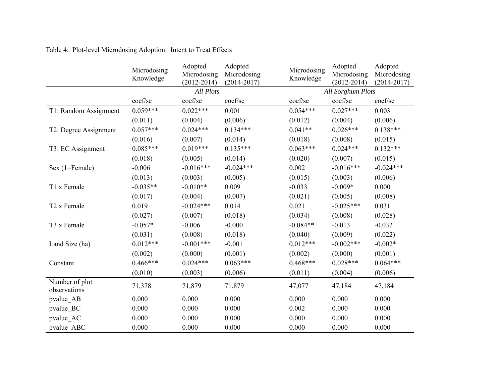|                                | Microdosing<br>Knowledge | Adopted<br>Microdosing<br>$(2012 - 2014)$ | Adopted<br>Microdosing<br>$(2014 - 2017)$ | Microdosing<br>Knowledge | Adopted<br>Microdosing<br>$(2012 - 2014)$ | Adopted<br>Microdosing<br>$(2014 - 2017)$ |  |  |
|--------------------------------|--------------------------|-------------------------------------------|-------------------------------------------|--------------------------|-------------------------------------------|-------------------------------------------|--|--|
|                                |                          |                                           | <b>All Sorghum Plots</b>                  |                          |                                           |                                           |  |  |
|                                | coef/se                  | coef/se                                   | coef/se                                   | coef/se                  | coef/se                                   | coef/se                                   |  |  |
| T1: Random Assignment          | $0.059***$               | $0.022***$                                | 0.001                                     | $0.054***$               | $0.027***$                                | 0.003                                     |  |  |
|                                | (0.011)                  | (0.004)                                   | (0.006)                                   | (0.012)                  | (0.004)                                   | (0.006)                                   |  |  |
| T2: Degree Assignment          | $0.057***$               | $0.024***$                                | $0.134***$                                | $0.041**$                | $0.026***$                                | $0.138***$                                |  |  |
|                                | (0.016)                  | (0.007)                                   | (0.014)                                   | (0.018)                  | (0.008)                                   | (0.015)                                   |  |  |
| T3: EC Assignment              | $0.085***$               | $0.019***$                                | $0.135***$                                | $0.063***$               | $0.024***$                                | $0.132***$                                |  |  |
|                                | (0.018)                  | (0.005)                                   | (0.014)                                   | (0.020)                  | (0.007)                                   | (0.015)                                   |  |  |
| Sex (1=Female)                 | $-0.006$                 | $-0.016***$                               | $-0.024***$                               | 0.002                    | $-0.016***$                               | $-0.024***$                               |  |  |
|                                | (0.013)                  | (0.003)                                   | (0.005)                                   | (0.015)                  | (0.003)                                   | (0.006)                                   |  |  |
| T1 x Female                    | $-0.035**$               | $-0.010**$                                | 0.009                                     | $-0.033$                 | $-0.009*$                                 | 0.000                                     |  |  |
|                                | (0.017)                  | (0.004)                                   | (0.007)                                   | (0.021)                  | (0.005)                                   | (0.008)                                   |  |  |
| T <sub>2</sub> x Female        | 0.019                    | $-0.024***$                               | 0.014                                     | 0.021                    | $-0.025***$                               | 0.031                                     |  |  |
|                                | (0.027)                  | (0.007)                                   | (0.018)                                   | (0.034)                  | (0.008)                                   | (0.028)                                   |  |  |
| T3 x Female                    | $-0.057*$                | $-0.006$                                  | $-0.000$                                  | $-0.084**$               | $-0.013$                                  | $-0.032$                                  |  |  |
|                                | (0.031)                  | (0.008)                                   | (0.018)                                   | (0.040)                  | (0.009)                                   | (0.022)                                   |  |  |
| Land Size (ha)                 | $0.012***$               | $-0.001***$                               | $-0.001$                                  | $0.012***$               | $-0.002***$                               | $-0.002*$                                 |  |  |
|                                | (0.002)                  | (0.000)                                   | (0.001)                                   | (0.002)                  | (0.000)                                   | (0.001)                                   |  |  |
| Constant                       | $0.466***$               | $0.024***$                                | $0.063***$                                | $0.468***$               | $0.028***$                                | $0.064***$                                |  |  |
|                                | (0.010)                  | (0.003)                                   | (0.006)                                   | (0.011)                  | (0.004)                                   | (0.006)                                   |  |  |
| Number of plot<br>observations | 71,378                   | 71,879                                    | 71,879                                    | 47,077                   | 47,184                                    | 47,184                                    |  |  |
| pvalue AB                      | 0.000                    | 0.000                                     | 0.000                                     | 0.000                    | 0.000                                     | 0.000                                     |  |  |
| pvalue BC                      | 0.000                    | 0.000                                     | 0.000                                     | 0.002                    | 0.000                                     | 0.000                                     |  |  |
| pvalue AC                      | 0.000                    | 0.000                                     | 0.000                                     | 0.000                    | 0.000                                     | 0.000                                     |  |  |
| pvalue ABC                     | 0.000                    | 0.000                                     | 0.000                                     | 0.000                    | 0.000                                     | 0.000                                     |  |  |

Table 4: Plot-level Microdosing Adoption: Intent to Treat Effects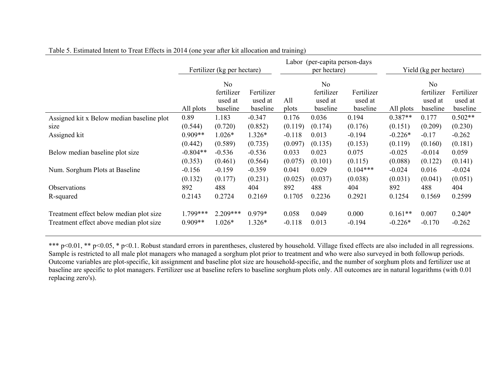|                                                                                    | Fertilizer (kg per hectare)      |                                |                                |                             | Labor (per-capita person-days)<br>per hectare) | Yield (kg per hectare)      |                                |                                |                             |
|------------------------------------------------------------------------------------|----------------------------------|--------------------------------|--------------------------------|-----------------------------|------------------------------------------------|-----------------------------|--------------------------------|--------------------------------|-----------------------------|
|                                                                                    |                                  | No<br>fertilizer               | Fertilizer                     |                             | N <sub>0</sub><br>fertilizer                   | Fertilizer                  |                                | N <sub>0</sub><br>fertilizer   | Fertilizer                  |
|                                                                                    | All plots                        | used at<br>baseline            | used at<br>baseline            | All<br>plots                | used at<br>baseline                            | used at<br>baseline         | All plots                      | used at<br>baseline            | used at<br>baseline         |
| Assigned kit x Below median baseline plot<br>size                                  | 0.89<br>(0.544)                  | 1.183<br>(0.720)               | $-0.347$<br>(0.852)            | 0.176<br>(0.119)            | 0.036<br>(0.174)                               | 0.194<br>(0.176)            | $0.387**$<br>(0.151)           | 0.177<br>(0.209)               | $0.502**$<br>(0.230)        |
| Assigned kit                                                                       | $0.909**$                        | $1.026*$                       | $1.326*$                       | $-0.118$                    | 0.013                                          | $-0.194$                    | $-0.226*$                      | $-0.17$                        | $-0.262$                    |
| Below median baseline plot size                                                    | (0.442)<br>$-0.804**$<br>(0.353) | (0.589)<br>$-0.536$<br>(0.461) | (0.735)<br>$-0.536$<br>(0.564) | (0.097)<br>0.033<br>(0.075) | (0.135)<br>0.023<br>(0.101)                    | (0.153)<br>0.075<br>(0.115) | (0.119)<br>$-0.025$<br>(0.088) | (0.160)<br>$-0.014$<br>(0.122) | (0.181)<br>0.059<br>(0.141) |
| Num. Sorghum Plots at Baseline                                                     | $-0.156$<br>(0.132)              | $-0.159$<br>(0.177)            | $-0.359$<br>(0.231)            | 0.041<br>(0.025)            | 0.029<br>(0.037)                               | $0.104***$<br>(0.038)       | $-0.024$<br>(0.031)            | 0.016<br>(0.041)               | $-0.024$<br>(0.051)         |
| <b>Observations</b>                                                                | 892                              | 488                            | 404                            | 892                         | 488                                            | 404                         | 892                            | 488                            | 404                         |
| R-squared                                                                          | 0.2143                           | 0.2724                         | 0.2169                         | 0.1705                      | 0.2236                                         | 0.2921                      | 0.1254                         | 0.1569                         | 0.2599                      |
| Treatment effect below median plot size<br>Treatment effect above median plot size | 1.799***<br>$0.909**$            | $2.209***$<br>$1.026*$         | $0.979*$<br>1.326*             | 0.058<br>$-0.118$           | 0.049<br>0.013                                 | 0.000<br>$-0.194$           | $0.161**$<br>$-0.226*$         | 0.007<br>$-0.170$              | $0.240*$<br>$-0.262$        |

## Table 5. Estimated Intent to Treat Effects in 2014 (one year after kit allocation and training)

\*\*\* p<0.01, \*\* p<0.05, \* p<0.1. Robust standard errors in parentheses, clustered by household. Village fixed effects are also included in all regressions. Sample is restricted to all male plot managers who managed a sorghum plot prior to treatment and who were also surveyed in both followup periods. Outcome variables are plot-specific, kit assignment and baseline plot size are household-specific, and the number of sorghum plots and fertilizer use at baseline are specific to plot managers. Fertilizer use at baseline refers to baseline sorghum plots only. All outcomes are in natural logarithms (with 0.01 replacing zero's).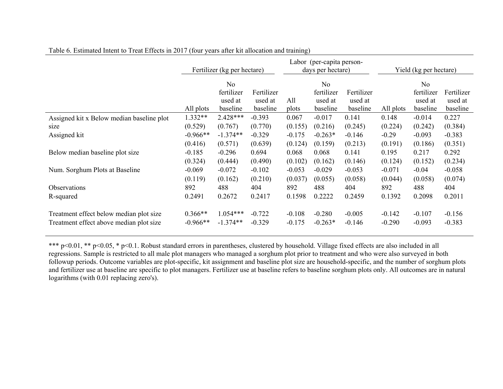|                                           | Fertilizer (kg per hectare) |                |            | Labor (per-capita person-<br>days per hectare) |                |            | Yield (kg per hectare) |                |            |
|-------------------------------------------|-----------------------------|----------------|------------|------------------------------------------------|----------------|------------|------------------------|----------------|------------|
|                                           |                             | N <sub>o</sub> |            |                                                | N <sub>o</sub> |            |                        | N <sub>o</sub> |            |
|                                           |                             | fertilizer     | Fertilizer |                                                | fertilizer     | Fertilizer |                        | fertilizer     | Fertilizer |
|                                           |                             | used at        | used at    | All                                            | used at        | used at    |                        | used at        | used at    |
|                                           | All plots                   | baseline       | baseline   | plots                                          | baseline       | baseline   | All plots              | baseline       | baseline   |
| Assigned kit x Below median baseline plot | 1.332**                     | 2.428***       | $-0.393$   | 0.067                                          | $-0.017$       | 0.141      | 0.148                  | $-0.014$       | 0.227      |
| size                                      | (0.529)                     | (0.767)        | (0.770)    | (0.155)                                        | (0.216)        | (0.245)    | (0.224)                | (0.242)        | (0.384)    |
| Assigned kit                              | $-0.966**$                  | $-1.374**$     | $-0.329$   | $-0.175$                                       | $-0.263*$      | $-0.146$   | $-0.29$                | $-0.093$       | $-0.383$   |
|                                           | (0.416)                     | (0.571)        | (0.639)    | (0.124)                                        | (0.159)        | (0.213)    | (0.191)                | (0.186)        | (0.351)    |
| Below median baseline plot size           | $-0.185$                    | $-0.296$       | 0.694      | 0.068                                          | 0.068          | 0.141      | 0.195                  | 0.217          | 0.292      |
|                                           | (0.324)                     | (0.444)        | (0.490)    | (0.102)                                        | (0.162)        | (0.146)    | (0.124)                | (0.152)        | (0.234)    |
| Num. Sorghum Plots at Baseline            | $-0.069$                    | $-0.072$       | $-0.102$   | $-0.053$                                       | $-0.029$       | $-0.053$   | $-0.071$               | $-0.04$        | $-0.058$   |
|                                           | (0.119)                     | (0.162)        | (0.210)    | (0.037)                                        | (0.055)        | (0.058)    | (0.044)                | (0.058)        | (0.074)    |
| Observations                              | 892                         | 488            | 404        | 892                                            | 488            | 404        | 892                    | 488            | 404        |
| R-squared                                 | 0.2491                      | 0.2672         | 0.2417     | 0.1598                                         | 0.2222         | 0.2459     | 0.1392                 | 0.2098         | 0.2011     |
|                                           |                             |                |            |                                                |                |            |                        |                |            |
| Treatment effect below median plot size   | $0.366**$                   | $1.054***$     | $-0.722$   | $-0.108$                                       | $-0.280$       | $-0.005$   | $-0.142$               | $-0.107$       | $-0.156$   |
| Treatment effect above median plot size   | $-0.966**$                  | $-1.374**$     | $-0.329$   | $-0.175$                                       | $-0.263*$      | $-0.146$   | $-0.290$               | $-0.093$       | $-0.383$   |

Table 6. Estimated Intent to Treat Effects in 2017 (four years after kit allocation and training)

\*\*\* p<0.01, \*\* p<0.05, \* p<0.1. Robust standard errors in parentheses, clustered by household. Village fixed effects are also included in all regressions. Sample is restricted to all male plot managers who managed a sorghum plot prior to treatment and who were also surveyed in both followup periods. Outcome variables are plot-specific, kit assignment and baseline plot size are household-specific, and the number of sorghum plots and fertilizer use at baseline are specific to plot managers. Fertilizer use at baseline refers to baseline sorghum plots only. All outcomes are in natural logarithms (with 0.01 replacing zero's).